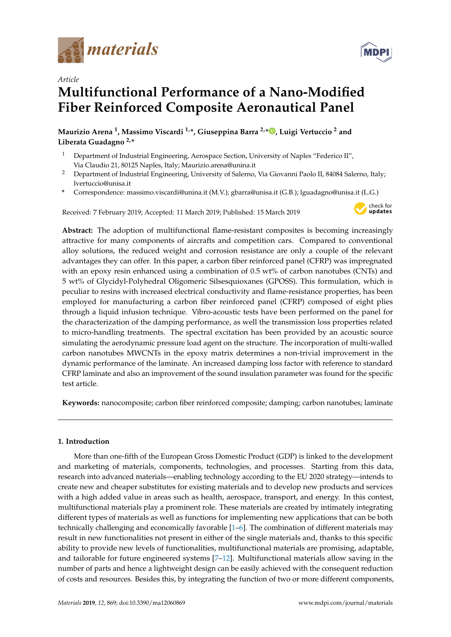



# *Article* **Multifunctional Performance of a Nano-Modified Fiber Reinforced Composite Aeronautical Panel**

**Maurizio Arena <sup>1</sup> , Massimo Viscardi 1,\*, Giuseppina Barra 2,\* [,](https://orcid.org/0000-0002-1431-7039) Luigi Vertuccio <sup>2</sup> and Liberata Guadagno 2,\***

- <sup>1</sup> Department of Industrial Engineering, Aerospace Section, University of Naples "Federico II", Via Claudio 21, 80125 Naples, Italy; Maurizio.arena@unina.it
- <sup>2</sup> Department of Industrial Engineering, University of Salerno, Via Giovanni Paolo II, 84084 Salerno, Italy; lvertuccio@unisa.it
- **\*** Correspondence: massimo.viscardi@unina.it (M.V.); gbarra@unisa.it (G.B.); lguadagno@unisa.it (L.G.)

Received: 7 February 2019; Accepted: 11 March 2019; Published: 15 March 2019



**Abstract:** The adoption of multifunctional flame-resistant composites is becoming increasingly attractive for many components of aircrafts and competition cars. Compared to conventional alloy solutions, the reduced weight and corrosion resistance are only a couple of the relevant advantages they can offer. In this paper, a carbon fiber reinforced panel (CFRP) was impregnated with an epoxy resin enhanced using a combination of 0.5 wt% of carbon nanotubes (CNTs) and 5 wt% of Glycidyl-Polyhedral Oligomeric Silsesquioxanes (GPOSS). This formulation, which is peculiar to resins with increased electrical conductivity and flame-resistance properties, has been employed for manufacturing a carbon fiber reinforced panel (CFRP) composed of eight plies through a liquid infusion technique. Vibro-acoustic tests have been performed on the panel for the characterization of the damping performance, as well the transmission loss properties related to micro-handling treatments. The spectral excitation has been provided by an acoustic source simulating the aerodynamic pressure load agent on the structure. The incorporation of multi-walled carbon nanotubes MWCNTs in the epoxy matrix determines a non-trivial improvement in the dynamic performance of the laminate. An increased damping loss factor with reference to standard CFRP laminate and also an improvement of the sound insulation parameter was found for the specific test article.

**Keywords:** nanocomposite; carbon fiber reinforced composite; damping; carbon nanotubes; laminate

### **1. Introduction**

More than one-fifth of the European Gross Domestic Product (GDP) is linked to the development and marketing of materials, components, technologies, and processes. Starting from this data, research into advanced materials—enabling technology according to the EU 2020 strategy—intends to create new and cheaper substitutes for existing materials and to develop new products and services with a high added value in areas such as health, aerospace, transport, and energy. In this contest, multifunctional materials play a prominent role. These materials are created by intimately integrating different types of materials as well as functions for implementing new applications that can be both technically challenging and economically favorable [\[1–](#page-14-0)[6\]](#page-15-0). The combination of different materials may result in new functionalities not present in either of the single materials and, thanks to this specific ability to provide new levels of functionalities, multifunctional materials are promising, adaptable, and tailorable for future engineered systems [\[7–](#page-15-1)[12\]](#page-15-2). Multifunctional materials allow saving in the number of parts and hence a lightweight design can be easily achieved with the consequent reduction of costs and resources. Besides this, by integrating the function of two or more different components,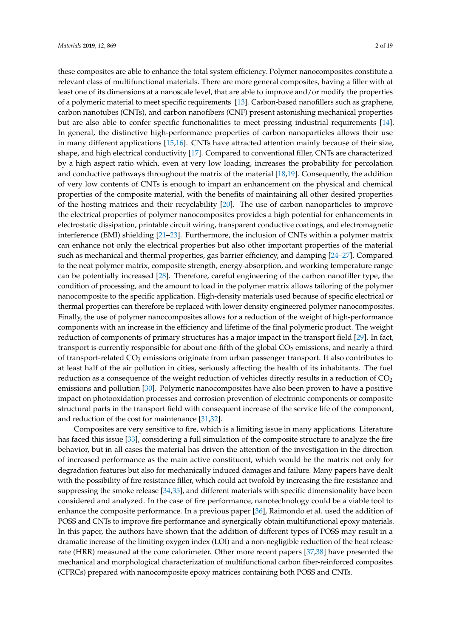these composites are able to enhance the total system efficiency. Polymer nanocomposites constitute a relevant class of multifunctional materials. There are more general composites, having a filler with at least one of its dimensions at a nanoscale level, that are able to improve and/or modify the properties of a polymeric material to meet specific requirements [\[13\]](#page-15-3). Carbon-based nanofillers such as graphene, carbon nanotubes (CNTs), and carbon nanofibers (CNF) present astonishing mechanical properties but are also able to confer specific functionalities to meet pressing industrial requirements [\[14\]](#page-15-4). In general, the distinctive high-performance properties of carbon nanoparticles allows their use in many different applications [\[15,](#page-15-5)[16\]](#page-15-6). CNTs have attracted attention mainly because of their size, shape, and high electrical conductivity [\[17\]](#page-15-7). Compared to conventional filler, CNTs are characterized by a high aspect ratio which, even at very low loading, increases the probability for percolation and conductive pathways throughout the matrix of the material [\[18](#page-15-8)[,19\]](#page-15-9). Consequently, the addition of very low contents of CNTs is enough to impart an enhancement on the physical and chemical properties of the composite material, with the benefits of maintaining all other desired properties of the hosting matrices and their recyclability [\[20\]](#page-15-10). The use of carbon nanoparticles to improve the electrical properties of polymer nanocomposites provides a high potential for enhancements in electrostatic dissipation, printable circuit wiring, transparent conductive coatings, and electromagnetic interference (EMI) shielding [\[21](#page-15-11)[–23\]](#page-15-12). Furthermore, the inclusion of CNTs within a polymer matrix can enhance not only the electrical properties but also other important properties of the material such as mechanical and thermal properties, gas barrier efficiency, and damping [\[24–](#page-16-0)[27\]](#page-16-1). Compared to the neat polymer matrix, composite strength, energy-absorption, and working temperature range can be potentially increased [\[28\]](#page-16-2). Therefore, careful engineering of the carbon nanofiller type, the condition of processing, and the amount to load in the polymer matrix allows tailoring of the polymer nanocomposite to the specific application. High-density materials used because of specific electrical or thermal properties can therefore be replaced with lower density engineered polymer nanocomposites. Finally, the use of polymer nanocomposites allows for a reduction of the weight of high-performance components with an increase in the efficiency and lifetime of the final polymeric product. The weight reduction of components of primary structures has a major impact in the transport field [\[29\]](#page-16-3). In fact, transport is currently responsible for about one-fifth of the global CO<sub>2</sub> emissions, and nearly a third of transport-related  $CO<sub>2</sub>$  emissions originate from urban passenger transport. It also contributes to at least half of the air pollution in cities, seriously affecting the health of its inhabitants. The fuel reduction as a consequence of the weight reduction of vehicles directly results in a reduction of  $CO<sub>2</sub>$ emissions and pollution [\[30\]](#page-16-4). Polymeric nanocomposites have also been proven to have a positive impact on photooxidation processes and corrosion prevention of electronic components or composite structural parts in the transport field with consequent increase of the service life of the component, and reduction of the cost for maintenance [\[31](#page-16-5)[,32\]](#page-16-6).

Composites are very sensitive to fire, which is a limiting issue in many applications. Literature has faced this issue [\[33\]](#page-16-7), considering a full simulation of the composite structure to analyze the fire behavior, but in all cases the material has driven the attention of the investigation in the direction of increased performance as the main active constituent, which would be the matrix not only for degradation features but also for mechanically induced damages and failure. Many papers have dealt with the possibility of fire resistance filler, which could act twofold by increasing the fire resistance and suppressing the smoke release [\[34](#page-16-8)[,35\]](#page-16-9), and different materials with specific dimensionality have been considered and analyzed. In the case of fire performance, nanotechnology could be a viable tool to enhance the composite performance. In a previous paper [\[36\]](#page-16-10), Raimondo et al. used the addition of POSS and CNTs to improve fire performance and synergically obtain multifunctional epoxy materials. In this paper, the authors have shown that the addition of different types of POSS may result in a dramatic increase of the limiting oxygen index (LOI) and a non-negligible reduction of the heat release rate (HRR) measured at the cone calorimeter. Other more recent papers [\[37,](#page-16-11)[38\]](#page-16-12) have presented the mechanical and morphological characterization of multifunctional carbon fiber-reinforced composites (CFRCs) prepared with nanocomposite epoxy matrices containing both POSS and CNTs.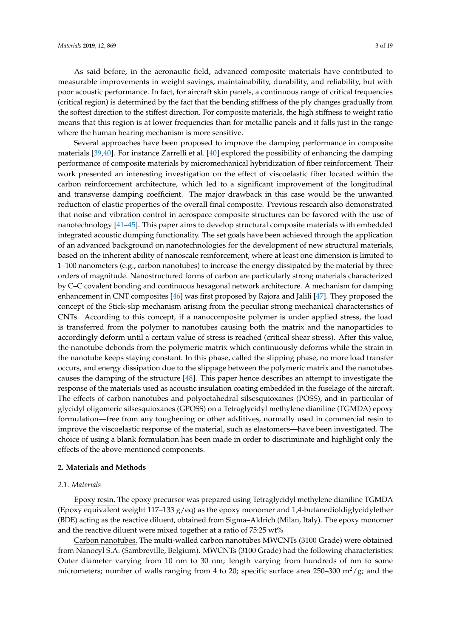As said before, in the aeronautic field, advanced composite materials have contributed to measurable improvements in weight savings, maintainability, durability, and reliability, but with poor acoustic performance. In fact, for aircraft skin panels, a continuous range of critical frequencies (critical region) is determined by the fact that the bending stiffness of the ply changes gradually from the softest direction to the stiffest direction. For composite materials, the high stiffness to weight ratio means that this region is at lower frequencies than for metallic panels and it falls just in the range where the human hearing mechanism is more sensitive.

Several approaches have been proposed to improve the damping performance in composite materials [\[39,](#page-16-13)[40\]](#page-16-14). For instance Zarrelli et al. [\[40\]](#page-16-14) explored the possibility of enhancing the damping performance of composite materials by micromechanical hybridization of fiber reinforcement. Their work presented an interesting investigation on the effect of viscoelastic fiber located within the carbon reinforcement architecture, which led to a significant improvement of the longitudinal and transverse damping coefficient. The major drawback in this case would be the unwanted reduction of elastic properties of the overall final composite. Previous research also demonstrated that noise and vibration control in aerospace composite structures can be favored with the use of nanotechnology [\[41–](#page-16-15)[45\]](#page-17-0). This paper aims to develop structural composite materials with embedded integrated acoustic dumping functionality. The set goals have been achieved through the application of an advanced background on nanotechnologies for the development of new structural materials, based on the inherent ability of nanoscale reinforcement, where at least one dimension is limited to 1–100 nanometers (e.g., carbon nanotubes) to increase the energy dissipated by the material by three orders of magnitude. Nanostructured forms of carbon are particularly strong materials characterized by C–C covalent bonding and continuous hexagonal network architecture. A mechanism for damping enhancement in CNT composites [\[46\]](#page-17-1) was first proposed by Rajora and Jalili [\[47\]](#page-17-2). They proposed the concept of the Stick-slip mechanism arising from the peculiar strong mechanical characteristics of CNTs. According to this concept, if a nanocomposite polymer is under applied stress, the load is transferred from the polymer to nanotubes causing both the matrix and the nanoparticles to accordingly deform until a certain value of stress is reached (critical shear stress). After this value, the nanotube debonds from the polymeric matrix which continuously deforms while the strain in the nanotube keeps staying constant. In this phase, called the slipping phase, no more load transfer occurs, and energy dissipation due to the slippage between the polymeric matrix and the nanotubes causes the damping of the structure [\[48\]](#page-17-3). This paper hence describes an attempt to investigate the response of the materials used as acoustic insulation coating embedded in the fuselage of the aircraft. The effects of carbon nanotubes and polyoctahedral silsesquioxanes (POSS), and in particular of glycidyl oligomeric silsesquioxanes (GPOSS) on a Tetraglycidyl methylene dianiline (TGMDA) epoxy formulation—free from any toughening or other additives, normally used in commercial resin to improve the viscoelastic response of the material, such as elastomers—have been investigated. The choice of using a blank formulation has been made in order to discriminate and highlight only the effects of the above-mentioned components.

#### **2. Materials and Methods**

#### *2.1. Materials*

Epoxy resin. The epoxy precursor was prepared using Tetraglycidyl methylene dianiline TGMDA (Epoxy equivalent weight  $117-133$  g/eq) as the epoxy monomer and 1,4-butanedioldiglycidylether (BDE) acting as the reactive diluent, obtained from Sigma–Aldrich (Milan, Italy). The epoxy monomer and the reactive diluent were mixed together at a ratio of 75:25 wt%

Carbon nanotubes. The multi-walled carbon nanotubes MWCNTs (3100 Grade) were obtained from Nanocyl S.A. (Sambreville, Belgium). MWCNTs (3100 Grade) had the following characteristics: Outer diameter varying from 10 nm to 30 nm; length varying from hundreds of nm to some micrometers; number of walls ranging from 4 to 20; specific surface area 250–300 m<sup>2</sup>/g; and the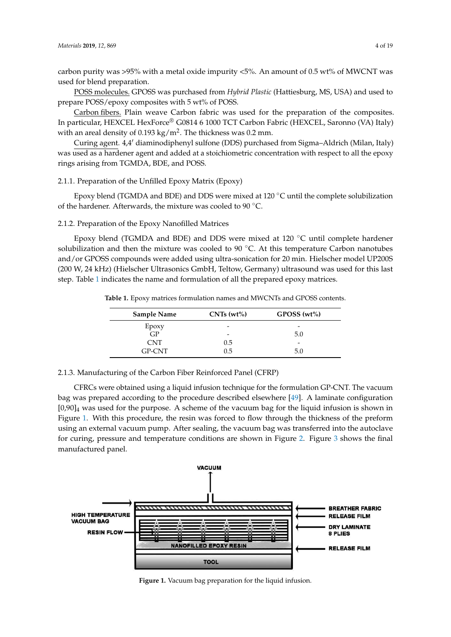carbon purity was >95% with a metal oxide impurity <5%. An amount of 0.5 wt% of MWCNT was used for blend preparation.

POSS molecules. GPOSS was purchased from *Hybrid Plastic* (Hattiesburg, MS, USA) and used to prepare POSS/epoxy composites with 5 wt% of POSS.

Carbon fibers. Plain weave Carbon fabric was used for the preparation of the composites. In particular, HEXCEL HexForce® G0814 6 1000 TCT Carbon Fabric (HEXCEL, Saronno (VA) Italy) with an areal density of  $0.193 \text{ kg/m}^2$ . The thickness was  $0.2 \text{ mm}$ .

Curing agent. 4,4' diaminodiphenyl sulfone (DDS) purchased from Sigma-Aldrich (Milan, Italy) was used as a hardener agent and added at a stoichiometric concentration with respect to all the epoxy rings arising from TGMDA, BDE, and POSS.

#### 2.1.1. Preparation of the Unfilled Epoxy Matrix (Epoxy)

Epoxy blend (TGMDA and BDE) and DDS were mixed at 120 ◦C until the complete solubilization of the hardener. Afterwards, the mixture was cooled to 90 ◦C.

2.1.2. Preparation of the Epoxy Nanofilled Matrices

Epoxy blend (TGMDA and BDE) and DDS were mixed at 120 ◦C until complete hardener solubilization and then the mixture was cooled to 90 °C. At this temperature Carbon nanotubes and/or GPOSS compounds were added using ultra-sonication for 20 min. Hielscher model UP200S (200 W, 24 kHz) (Hielscher Ultrasonics GmbH, Teltow, Germany) ultrasound was used for this last step. Table [1](#page-3-0) indicates the name and formulation of all the prepared epoxy matrices.

<span id="page-3-0"></span>**Table 1.** Epoxy matrices formulation names and MWCNTs and GPOSS contents.

| <b>Sample Name</b> | $CNTs(wt\%)$             | $GPOSS (wt\%)$           |
|--------------------|--------------------------|--------------------------|
| Epoxy              | -                        | $\overline{\phantom{0}}$ |
| GP                 | $\overline{\phantom{0}}$ | 5.0                      |
| <b>CNT</b>         | 0.5                      | $\overline{\phantom{a}}$ |
| GP-CNT             | 0.5                      | 5.0                      |

2.1.3. Manufacturing of the Carbon Fiber Reinforced Panel (CFRP)

CFRCs were obtained using a liquid infusion technique for the formulation GP-CNT. The vacuum bag was prepared according to the procedure described elsewhere [\[49\]](#page-17-4). A laminate configuration  $[0,90]_4$  was used for the purpose. A scheme of the vacuum bag for the liquid infusion is shown in Figure [1.](#page-3-1) With this procedure, the resin was forced to flow through the thickness of the preform using an external vacuum pump. After sealing, the vacuum bag was transferred into the autoclave for curing, pressure and temperature conditions are shown in Figure [2.](#page-4-0) Figure [3](#page-4-1) shows the final manufactured panel. *Materials* **2019**, *12*, x FOR PEER REVIEW 5 of 19

<span id="page-3-1"></span>

**Figure 1.** Vacuum bag preparation for the liquid infusion.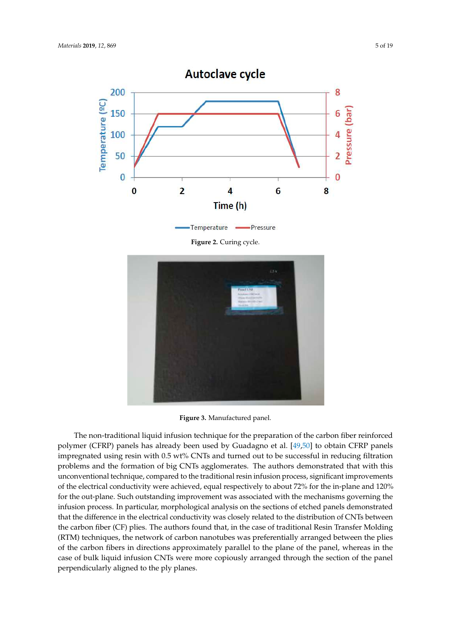<span id="page-4-0"></span>

**Figure 2.** Curing cycle.

<span id="page-4-1"></span>

**Figure 3.** Manufactured panel. **Figure 3.** Manufactured panel.

The non-traditional liquid infusion technique for the preparation of the carbon fiber reinforced The non-traditional liquid infusion technique for the preparation of the carbon fiber reinforced polymer (CFRP) panels has already been used by Guadagno et al. [49,50] to obtain CFRP panels polymer (CFRP) panels has already been used by Guadagno et al. [\[49,](#page-17-4)[50\]](#page-17-5) to obtain CFRP panels impregnated using resin with 0.5 wt% CNTs and turned out to be successful in reducing filtration impregnated using resin with 0.5 wt% CNTs and turned out to be successful in reducing filtration problems and the formation of big CNTs agglomerates. The authors demonstrated that with this problems and the formation of big CNTs agglomerates. The authors demonstrated that with this unconventional technique, compared to the traditional resin infusion process, significant unconventional technique, compared to the traditional resin infusion process, significant improvements of the electrical conductivity were achieved, equal respectively to about 72% for the in-plane and 120% for the out-plane. Such outstanding improvement was associated with the mechanisms governing the infusion process. In particular, morphological analysis on the sections of etched panels demonstrated in the sections of the sections of the section of the section of the section of the section of the section of the sectio that the difference in the electrical conductivity was closely related to the distribution of CNTs between the that the difference in the electrical conductivity was closely related to the distribution of CNTs between the carbon fiber (CF) plies. The authors found that, in the case of traditional Resin Transfer Molding  $(T, T)$  $(RTM)$  techniques, the network of carbon nanotubes was preferentially arranged between the plies of the carbon fibers in directions approximately parallel to the plane of the panel, whereas in the case of bulk liquid infusion CNTs were more copiously arranged through the section of the panel perpendicularly aligned to the ply planes.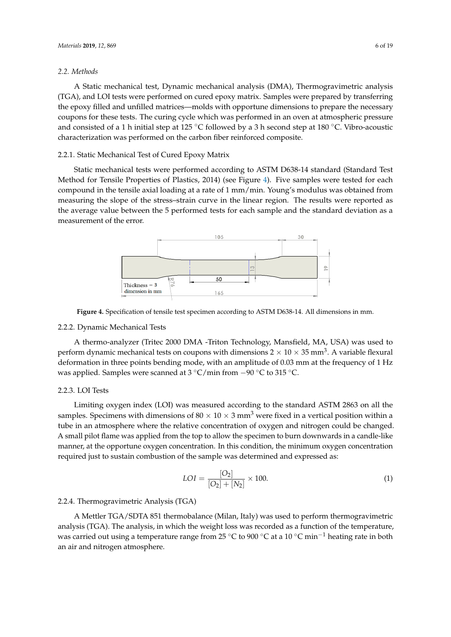#### *2.2. Methods*

A Static mechanical test, Dynamic mechanical analysis (DMA), Thermogravimetric analysis (TGA), and LOI tests were performed on cured epoxy matrix. Samples were prepared by transferring the epoxy filled and unfilled matrices—molds with opportune dimensions to prepare the necessary coupons for these tests. The curing cycle which was performed in an oven at atmospheric pressure and consisted of a 1 h initial step at 125 ◦C followed by a 3 h second step at 180 ◦C. Vibro-acoustic characterization was performed on the carbon fiber reinforced composite.

#### 2.2.1. Static Mechanical Test of Cured Epoxy Matrix

Static mechanical tests were performed according to ASTM D638-14 standard (Standard Test Method for Tensile Properties of Plastics, 2014) (see Figure [4\)](#page-5-0). Five samples were tested for each compound in the tensile axial loading at a rate of 1 mm/min. Young's modulus was obtained from measuring the slope of the stress–strain curve in the linear region. The results were reported as the average value between the 5 performed tests for each sample and the standard deviation as a measurement of the error.

<span id="page-5-0"></span>

**Figure 4.**  Specification of tensile tensile tensile tensile tensile tensile tensile tensile tensile tensile tensil **Figure 4.** Specification of tensile test specimen according to ASTM D638-14. All dimensions in mm.

#### 2.2.2. Dynamic Mechanical Tests

A thermo-analyzer (Tritec 2000 DMA -Triton Technology, Mansfield, MA, USA) was used to deformation in three points bending mode, with an amplitude of  $0.03$  mm at the frequency of 1 Hz was applied. Samples were scanned at 3 °C/min from −90 °C to 315 °C. deformation in three points bending mode, with an amplitude of 0.03 mm at the frequency of 1 Hz perform dynamic mechanical tests on coupons with dimensions 2  $\times$  10  $\times$  35 mm<sup>3</sup>. A variable flexural

## $2.2.3.$  LOI Tests

samples. Specimens with dimensions of 80  $\times$  10  $\times$  3 mm<sup>3</sup> were fixed in a vertical position within a A small pilot flame was applied from the top to allow the specimen to burn downwards in a candle-like manner, at the opportune oxygen concentration. In this condition, the minimum oxygen concentration required just to sustain combustion of the sample was determined and expressed as: Limiting oxygen index (LOI) was measured according to the standard ASTM 2863 on all the tube in an atmosphere where the relative concentration of oxygen and nitrogen could be changed.

$$
LOI = \frac{[O_2]}{[O_2] + [N_2]} \times 100.
$$
 (1)

#### 2.2.4. Thermogravimetric Analysis (TGA)

. Thermogravimetric Amarysis (1971)<br>A Mettler TGA/SDTA 851 thermobalance (Milan, Italy) was used to perform thermogravimetric was carried out using a temperature range from 25 °C to 900 °C at a 10 °C min<sup>-1</sup> heating rate in both  $\sim$ analysis (TGA). The analysis, in which the weight loss was recorded as a function of the temperature, an air and nitrogen atmosphere.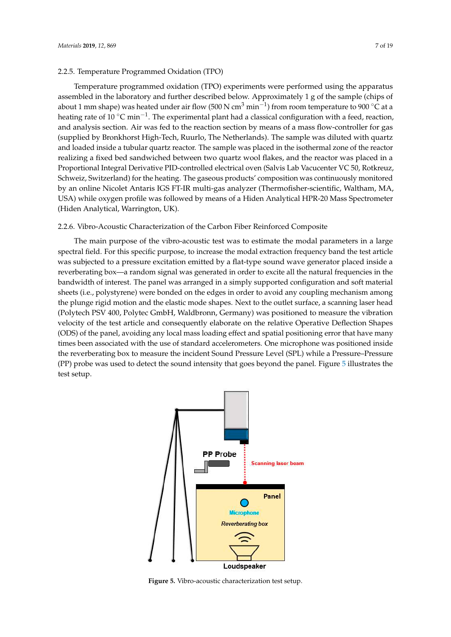Temperature programmed oxidation (TPO) experiments were performed using the apparatus assembled in the laboratory and further described below. Approximately 1 g of the sample (chips of about 1 mm shape) was heated under air flow (500 N cm $^3$  min $^{-1}$ ) from room temperature to 900 °C at a heating rate of 10 °C min<sup>-1</sup>. The experimental plant had a classical configuration with a feed, reaction, and analysis section. Air was fed to the reaction section by means of a mass flow-controller for gas (supplied by Bronkhorst High-Tech, Ruurlo, The Netherlands). The sample was diluted with quartz and loaded inside a tubular quartz reactor. The sample was placed in the isothermal zone of the reactor realizing a fixed bed sandwiched between two quartz wool flakes, and the reactor was placed in a Proportional Integral Derivative PID-controlled electrical oven (Salvis Lab Vacucenter VC 50, Rotkreuz, Schweiz, Switzerland) for the heating. The gaseous products' composition was continuously monitored by an online Nicolet Antaris IGS FT-IR multi-gas analyzer (Thermofisher-scientific, Waltham, MA, USA) while oxygen profile was followed by means of a Hiden Analytical HPR-20 Mass Spectrometer (Hiden Analytical, Warrington, UK).

#### 2.2.6. Vibro-Acoustic Characterization of the Carbon Fiber Reinforced Composite

The main purpose of the vibro-acoustic test was to estimate the modal parameters in a large spectral field. For this specific purpose, to increase the modal extraction frequency band the test article was subjected to a pressure excitation emitted by a flat-type sound wave generator placed inside a reverberating box—a random signal was generated in order to excite all the natural frequencies in the bandwidth of interest. The panel was arranged in a simply supported configuration and soft material sheets (i.e., polystyrene) were bonded on the edges in order to avoid any coupling mechanism among the plunge rigid motion and the elastic mode shapes. Next to the outlet surface, a scanning laser head (Polytech PSV 400, Polytec GmbH, Waldbronn, Germany) was positioned to measure the vibration velocity of the test article and consequently elaborate on the relative Operative Deflection Shapes (ODS) of the panel, avoiding any local mass loading effect and spatial positioning error that have many times been associated with the use of standard accelerometers. One microphone was positioned inside the reverberating box to measure the incident Sound Pressure Level (SPL) while a Pressure–Pressure (PP) probe was used to detect the sound intensity that goes beyond the panel. Figure [5](#page-6-0) illustrates the test setup.  $\sum_{i=1}^{n}$ 

<span id="page-6-0"></span>

**Figure 5.** Vibro-acoustic characterization test setup. **The Figure 5.** Vibro-acoustic characterization test setup.<br> **Figure 5.** Vibro-acoustic characterization test setup.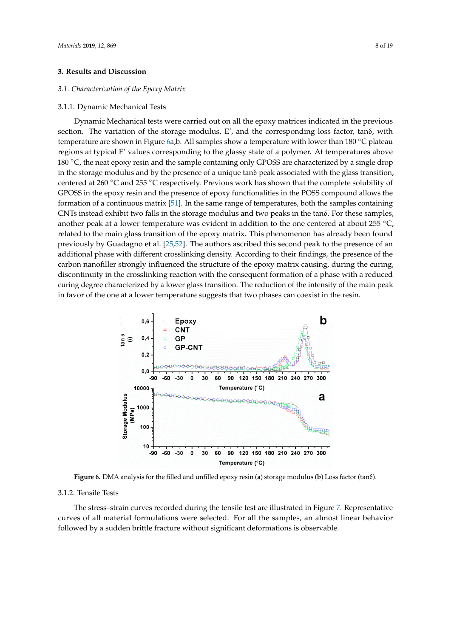#### **3. Results and Discussion**

#### *3.1. Characterization of the Epoxy Matrix*

#### 3.1.1. Dynamic Mechanical Tests

Dynamic Mechanical tests were carried out on all the epoxy matrices indicated in the previous section. The variation of the storage modulus, E', and the corresponding loss factor, tanδ, with temperature are shown in Figure [6a](#page-7-0),b. All samples show a temperature with lower than 180 ℃ plateau regions at typical E' values corresponding to the glassy state of a polymer. At temperatures above 180 ◦C, the neat epoxy resin and the sample containing only GPOSS are characterized by a single drop in the storage modulus and by the presence of a unique tan $\delta$  peak associated with the glass transition, centered at 260 ◦C and 255 ◦C respectively. Previous work has shown that the complete solubility of GPOSS in the epoxy resin and the presence of epoxy functionalities in the POSS compound allows the formation of a continuous matrix [\[51\]](#page-17-6). In the same range of temperatures, both the samples containing CNTs instead exhibit two falls in the storage modulus and two peaks in the tanδ. For these samples, another peak at a lower temperature was evident in addition to the one centered at about 255 °C, related to the main glass transition of the epoxy matrix. This phenomenon has already been found previously by Guadagno et al. [\[25,](#page-16-16)[52\]](#page-17-7). The authors ascribed this second peak to the presence of an additional phase with different crosslinking density. According to their findings, the presence of the carbon nanofiller strongly influenced the structure of the epoxy matrix causing, during the curing, discontinuity in the crosslinking reaction with the consequent formation of a phase with a reduced curing degree characterized by a lower glass transition. The reduction of the intensity of the main peak in favor of the one at a lower temperature suggests that two phases can coexist in the resin. suggests that two phases can coexist in the resin.

<span id="page-7-0"></span>

**Figure 6.** DMA analysis for the filled and unfilled epoxy resin (**a**) storage modulus (**b**) Loss factor (tanδ).

### 3.1.2. Tensile Tests

curves of all material formulations were selected. For all the samples, an almost linear behavior followed by a sudden brittle fracture without significant deformations is observable. The stress–strain curves recorded during the tensile test are illustrated in Figure [7.](#page-8-0) Representative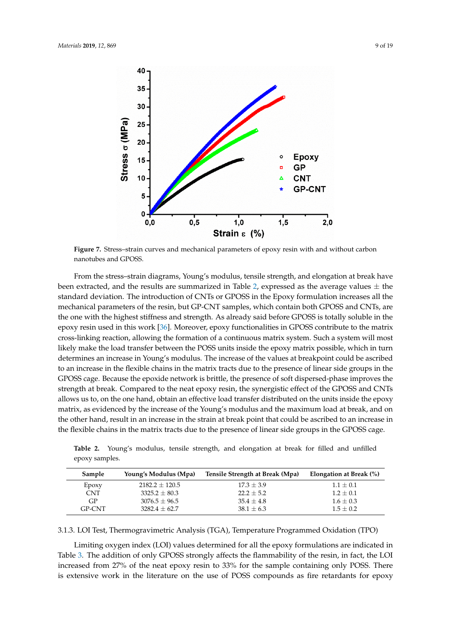<span id="page-8-0"></span>

**Figure 7.** Stress–strain curves and mechanical parameters of epoxy resin with and without carbon nanotubes and GPOSS.

From the stress-strain diagrams, Young's modulus, tensile strength, and elongation at break have been extracted, and the results are summarized in Table [2,](#page-8-1) expressed as the average values  $\pm$  the standard deviation. The introduction of CNTs or GPOSS in the Epoxy formulation increases all the mechanical parameters of the resin, but GP-CNT samples, which contain both GPOSS and CNTs, are the one with the highest stiffness and strength. As already said before GPOSS is totally soluble in the epoxy resin used in this work [\[36\]](#page-16-10). Moreover, epoxy functionalities in GPOSS contribute to the matrix cross-linking reaction, allowing the formation of a continuous matrix system. Such a system will most likely make the load transfer between the POSS units inside the epoxy matrix possible, which in turn determines an increase in Young's modulus. The increase of the values at breakpoint could be ascribed to an increase in the flexible chains in the matrix tracts due to the presence of linear side groups in the GPOSS cage. Because the epoxide network is brittle, the presence of soft dispersed-phase improves the strength at break. Compared to the neat epoxy resin, the synergistic effect of the GPOSS and CNTs allows us to, on the one hand, obtain an effective load transfer distributed on the units inside the epoxy matrix, as evidenced by the increase of the Young's modulus and the maximum load at break, and on the other hand, result in an increase in the strain at break point that could be ascribed to an increase in the flexible chains in the matrix tracts due to the presence of linear side groups in the GPOSS cage.

<span id="page-8-1"></span>**Table 2.** Young's modulus, tensile strength, and elongation at break for filled and unfilled epoxy samples.

| Sample     | Young's Modulus (Mpa) | Tensile Strength at Break (Mpa) | Elongation at Break (%) |
|------------|-----------------------|---------------------------------|-------------------------|
| Epoxy      | $2182.2 \pm 120.5$    | $17.3 \pm 3.9$                  | $1.1 \pm 0.1$           |
| <b>CNT</b> | $3325.2 + 80.3$       | $22.2 \pm 5.2$                  | $1.2 + 0.1$             |
| GP.        | $3076.5 \pm 96.5$     | $35.4 + 4.8$                    | $1.6 \pm 0.3$           |
| GP-CNT     | $3282.4 + 62.7$       | $38.1 \pm 6.3$                  | $1.5 + 0.2$             |

3.1.3. LOI Test, Thermogravimetric Analysis (TGA), Temperature Programmed Oxidation (TPO)

Limiting oxygen index (LOI) values determined for all the epoxy formulations are indicated in Table [3.](#page-9-0) The addition of only GPOSS strongly affects the flammability of the resin, in fact, the LOI increased from 27% of the neat epoxy resin to 33% for the sample containing only POSS. There is extensive work in the literature on the use of POSS compounds as fire retardants for epoxy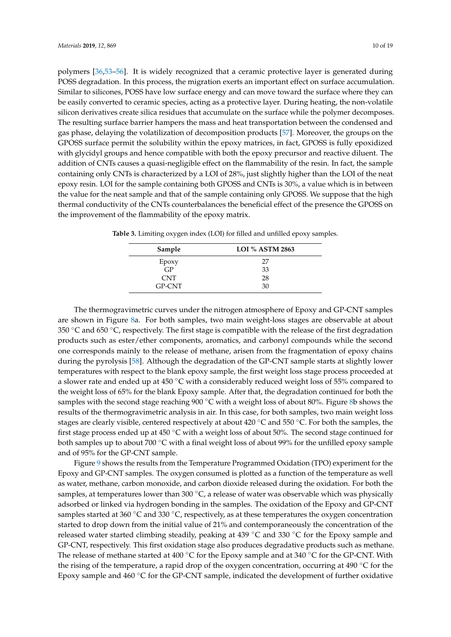polymers [\[36,](#page-16-10)[53](#page-17-8)[–56\]](#page-17-9). It is widely recognized that a ceramic protective layer is generated during POSS degradation. In this process, the migration exerts an important effect on surface accumulation. Similar to silicones, POSS have low surface energy and can move toward the surface where they can be easily converted to ceramic species, acting as a protective layer. During heating, the non-volatile silicon derivatives create silica residues that accumulate on the surface while the polymer decomposes. The resulting surface barrier hampers the mass and heat transportation between the condensed and gas phase, delaying the volatilization of decomposition products [\[57\]](#page-17-10). Moreover, the groups on the GPOSS surface permit the solubility within the epoxy matrices, in fact, GPOSS is fully epoxidized with glycidyl groups and hence compatible with both the epoxy precursor and reactive diluent. The addition of CNTs causes a quasi-negligible effect on the flammability of the resin. In fact, the sample containing only CNTs is characterized by a LOI of 28%, just slightly higher than the LOI of the neat epoxy resin. LOI for the sample containing both GPOSS and CNTs is 30%, a value which is in between the value for the neat sample and that of the sample containing only GPOSS. We suppose that the high thermal conductivity of the CNTs counterbalances the beneficial effect of the presence the GPOSS on the improvement of the flammability of the epoxy matrix.

| Sample        | <b>LOI % ASTM 2863</b> |
|---------------|------------------------|
| Epoxy         | 27                     |
| GP            | 33                     |
| <b>CNT</b>    | 28                     |
| <b>GP-CNT</b> | 30                     |

<span id="page-9-0"></span>**Table 3.** Limiting oxygen index (LOI) for filled and unfilled epoxy samples.

The thermogravimetric curves under the nitrogen atmosphere of Epoxy and GP-CNT samples are shown in Figure [8a](#page-10-0). For both samples, two main weight-loss stages are observable at about 350  $\degree$ C and 650  $\degree$ C, respectively. The first stage is compatible with the release of the first degradation products such as ester/ether components, aromatics, and carbonyl compounds while the second one corresponds mainly to the release of methane, arisen from the fragmentation of epoxy chains during the pyrolysis [\[58\]](#page-17-11). Although the degradation of the GP-CNT sample starts at slightly lower temperatures with respect to the blank epoxy sample, the first weight loss stage process proceeded at a slower rate and ended up at 450 °C with a considerably reduced weight loss of 55% compared to the weight loss of 65% for the blank Epoxy sample. After that, the degradation continued for both the samples with the second stage reaching 900 ℃ with a weight loss of about 80%. Figure [8b](#page-10-0) shows the results of the thermogravimetric analysis in air. In this case, for both samples, two main weight loss stages are clearly visible, centered respectively at about 420 ◦C and 550 ◦C. For both the samples, the first stage process ended up at 450 ◦C with a weight loss of about 50%. The second stage continued for both samples up to about 700 ◦C with a final weight loss of about 99% for the unfilled epoxy sample and of 95% for the GP-CNT sample.

Figure [9](#page-10-1) shows the results from the Temperature Programmed Oxidation (TPO) experiment for the Epoxy and GP-CNT samples. The oxygen consumed is plotted as a function of the temperature as well as water, methane, carbon monoxide, and carbon dioxide released during the oxidation. For both the samples, at temperatures lower than 300  $^{\circ}$ C, a release of water was observable which was physically adsorbed or linked via hydrogen bonding in the samples. The oxidation of the Epoxy and GP-CNT samples started at 360  $\degree$ C and 330  $\degree$ C, respectively, as at these temperatures the oxygen concentration started to drop down from the initial value of 21% and contemporaneously the concentration of the released water started climbing steadily, peaking at 439 ◦C and 330 ◦C for the Epoxy sample and GP-CNT, respectively. This first oxidation stage also produces degradative products such as methane. The release of methane started at 400 °C for the Epoxy sample and at 340 °C for the GP-CNT. With the rising of the temperature, a rapid drop of the oxygen concentration, occurring at 490  $\degree$ C for the Epoxy sample and 460 ◦C for the GP-CNT sample, indicated the development of further oxidative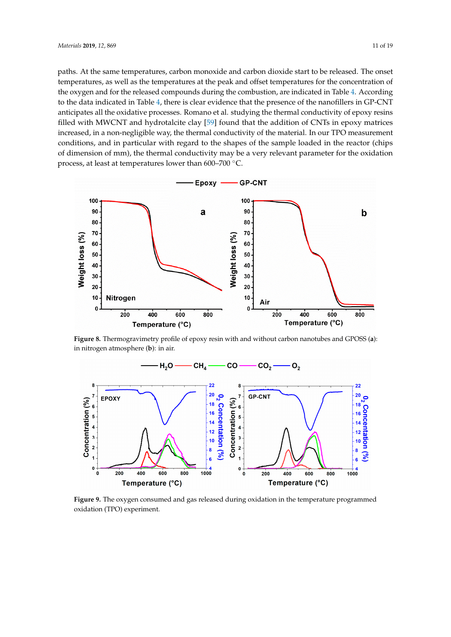paths. At the same temperatures, carbon monoxide and carbon dioxide start to be released. The onset temperatures, as well as the temperatures at the peak and offset temperatures for the concentration of the oxygen and for the released compounds during the combustion, are indicated in Table [4.](#page-11-0) According to the data indicated in Table [4,](#page-11-0) there is clear evidence that the presence of the nanofillers in GP-CNT anticipates all the oxidative processes. Romano et al. studying the thermal conductivity of epoxy resins filled with MWCNT and hydrotalcite clay [\[59\]](#page-17-12) found that the addition of CNTs in epoxy matrices increased, in a non-negligible way, the thermal conductivity of the material. In our TPO measurement conditions, and in particular with regard to the shapes of the sample loaded in the reactor (chips of dimension of mm), the thermal conductivity may be a very relevant parameter for the oxidation process, at least at temperatures lower than 600–700  $^{\circ}$ C.

<span id="page-10-0"></span>

Figure 8. Thermogravimetry profile of epoxy resin with and without carbon nanotubes and GPOSS (a): in nitrogen atmosphere (**b**): in air.

<span id="page-10-1"></span>

oxidation (TPO) experiment. **Figure 9.** The oxygen consumed and gas released during oxidation in the temperature programmed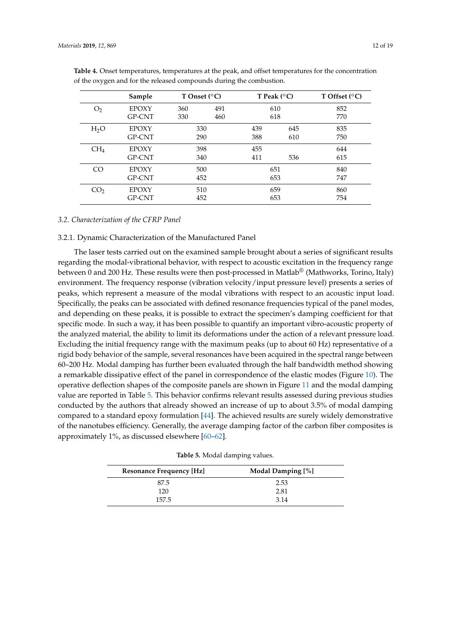|                  | Sample        | T Onset $(^{\circ}C)$ |     |     | T Peak $(^{\circ}C)$ | T Offset $(^{\circ}C)$ |
|------------------|---------------|-----------------------|-----|-----|----------------------|------------------------|
| O <sub>2</sub>   | <b>EPOXY</b>  | 360                   | 491 |     | 610                  | 852                    |
|                  | <b>GP-CNT</b> | 330                   | 460 |     | 618                  | 770                    |
| H <sub>2</sub> O | <b>EPOXY</b>  | 330                   |     | 439 | 645                  | 835                    |
|                  | GP-CNT        | 290                   |     | 388 | 610                  | 750                    |
| CH <sub>4</sub>  | <b>EPOXY</b>  | 398                   |     | 455 |                      | 644                    |
|                  | GP-CNT        | 340                   |     | 411 | 536                  | 615                    |
| CO <sub>1</sub>  | <b>EPOXY</b>  | 500                   |     | 651 |                      | 840                    |
|                  | GP-CNT        | 452                   |     | 653 |                      | 747                    |
| CO <sub>2</sub>  | <b>EPOXY</b>  | 510                   |     |     | 659                  | 860                    |
|                  | GP-CNT        | 452                   |     |     | 653                  | 754                    |

<span id="page-11-0"></span>**Table 4.** Onset temperatures, temperatures at the peak, and offset temperatures for the concentration of the oxygen and for the released compounds during the combustion.

#### *3.2. Characterization of the CFRP Panel*

#### 3.2.1. Dynamic Characterization of the Manufactured Panel

The laser tests carried out on the examined sample brought about a series of significant results regarding the modal-vibrational behavior, with respect to acoustic excitation in the frequency range between 0 and 200 Hz. These results were then post-processed in Matlab® (Mathworks, Torino, Italy) environment. The frequency response (vibration velocity/input pressure level) presents a series of peaks, which represent a measure of the modal vibrations with respect to an acoustic input load. Specifically, the peaks can be associated with defined resonance frequencies typical of the panel modes, and depending on these peaks, it is possible to extract the specimen's damping coefficient for that specific mode. In such a way, it has been possible to quantify an important vibro-acoustic property of the analyzed material, the ability to limit its deformations under the action of a relevant pressure load. Excluding the initial frequency range with the maximum peaks (up to about 60 Hz) representative of a rigid body behavior of the sample, several resonances have been acquired in the spectral range between 60–200 Hz. Modal damping has further been evaluated through the half bandwidth method showing a remarkable dissipative effect of the panel in correspondence of the elastic modes (Figure [10\)](#page-12-0). The operative deflection shapes of the composite panels are shown in Figure [11](#page-12-1) and the modal damping value are reported in Table [5.](#page-11-1) This behavior confirms relevant results assessed during previous studies conducted by the authors that already showed an increase of up to about 3.5% of modal damping compared to a standard epoxy formulation [\[44\]](#page-17-13). The achieved results are surely widely demonstrative of the nanotubes efficiency. Generally, the average damping factor of the carbon fiber composites is approximately 1%, as discussed elsewhere [\[60–](#page-17-14)[62\]](#page-17-15).

|  |  | Table 5. Modal damping values. |  |
|--|--|--------------------------------|--|
|--|--|--------------------------------|--|

<span id="page-11-1"></span>

| <b>Resonance Frequency [Hz]</b> | Modal Damping [%] |
|---------------------------------|-------------------|
| 87.5                            | 2.53              |
| 120                             | 2.81              |
| 157.5                           | 3.14              |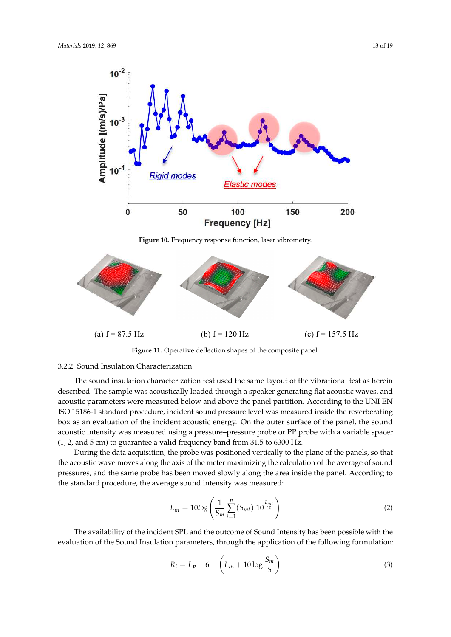<span id="page-12-0"></span>

<span id="page-12-1"></span>

**Figure 11.** Operative deflection shapes of the composite panel.

#### 3.2.2. Sound Insulation Characterization

The sound insulation characterization test used the same layout of the vibrational test as herein acoustic parameters were measured below and above the panel partition. According to the UNI EN ISO 15186-1 standard procedure, incident sound pressure level was measured inside the reverberating box as an evaluation of the incident acoustic energy. On the outer surface of the panel, the sound described. The sample was acoustically loaded through a speaker generating flat acoustic waves, and acoustic intensity was measured using a pressure–pressure probe or PP probe with a variable spacer (1, 2, and 5 cm) to guarantee a valid frequency band from 31.5 to 6300 Hz.

During the data acquisition, the probe was positioned vertically to the plane of the panels, so that the acoustic wave moves along the axis of the meter maximizing the calculation of the average of sound pressures, and the same probe has been moved slowly along the area inside the panel. According to the standard procedure, the average sound intensity was measured:

$$
\overline{L}_{in} = 10log\left(\frac{1}{S_m} \sum_{i=1}^{n} (S_{mt}) \cdot 10^{\frac{L_{int}}{10}}\right)
$$
 (2)

The availability of the incident SPL and the outcome of Sound Intensity has been possible with the evaluation of the Sound Insulation parameters, through the application of the following formulation:

$$
R_i = L_p - 6 - \left( L_{in} + 10 \log \frac{S_m}{S} \right) \tag{3}
$$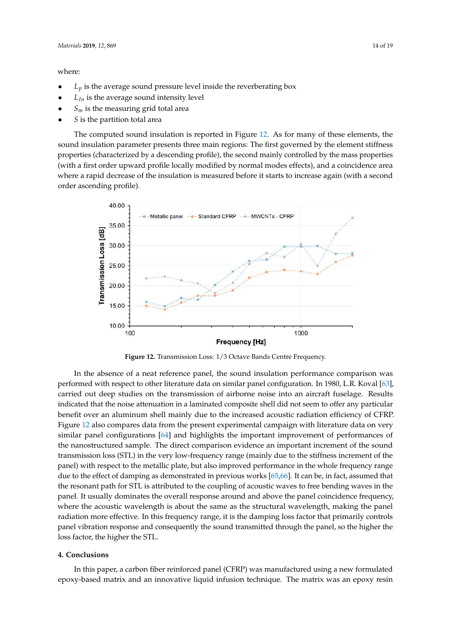#### where:

- $L_p$  is the average sound pressure level inside the reverberating box
- $L_{In}$  is the average sound intensity level
- $S_m$  is the measuring grid total area
- *S* is the partition total area

The computed sound insulation is reported in Figure [12.](#page-13-0) As for many of these elements, the sound insulation parameter presents three main regions: The first governed by the element stiffness properties (characterized by a descending profile), the second mainly controlled by the mass properties with a first order upward profile locally modified by normal modes effects), and a coincidence area where a rapid decrease of the insulation is measured before it starts to increase again (with a second order ascending profile).

<span id="page-13-0"></span>

**Figure 12.** Transmission Loss: 1/3 Octave Bands Centre Frequency.

performed with respect to other literature data on similar panel configuration. In 1980, L.R. Koval [\[63\]](#page-17-16), carried out deep studies on the transmission of airborne noise into an aircraft fuselage. Results indicated that the noise attenuation in a laminated composite shell did not seem to offer any particular<br>in an an an annual particular benefit over an aluminum shell mainly due to the increased acoustic radiation efficiency of CFRP.<br>E Glycidyl POSS (GPOSS). This formulation has some peculiar characteristics of improved mechanical Figure [12](#page-13-0) also compares data from the present experimental campaign with literature data on very similar panel configurations [\[64\]](#page-17-17) and highlights the important improvement of performances of the nanostructured sample. The direct comparison evidence an important increment of the sound transmission loss (STL) in the very low-frequency range (mainly due to the stiffness increment of the panel) with respect to the metallic plate, but also improved performance in the whole frequency range due to the effect of damping as demonstrated in previous works  $[65,66]$  $[65,66]$ . It can be, in fact, assumed that the resonant path for STL is attributed to the coupling of acoustic waves to free bending waves in the panel. It usually dominates the overall response around and above the panel coincidence frequency, where the acoustic wavelength is about the same as the structural wavelength, making the panel radiation more effective. In this frequency range, it is the damping loss factor that primarily controls panel vibration response and consequently the sound transmitted through the panel, so the higher the<br>. sion, the rugher the STE. In the absence of a neat reference panel, the sound insulation performance comparison was loss factor, the higher the STL.

#### $\epsilon$  and degree the the theorem started at slightly lower temperatures started at slightly lower temperatures of the GP-CNT system started at slightly lower temperatures of the GP-CNT system started at  $\epsilon$ **4. Conclusions**

In this paper, a carbon fiber reinforced panel (CFRP) was manufactured using a new formulated epoxy-based matrix and an innovative liquid infusion technique. The matrix was an epoxy resin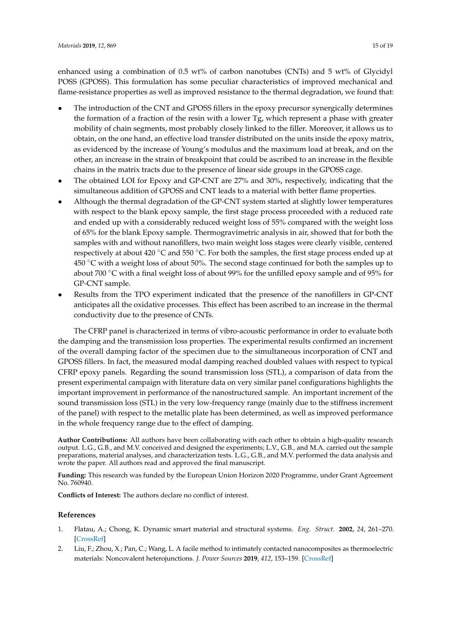enhanced using a combination of 0.5 wt% of carbon nanotubes (CNTs) and 5 wt% of Glycidyl POSS (GPOSS). This formulation has some peculiar characteristics of improved mechanical and flame-resistance properties as well as improved resistance to the thermal degradation, we found that:

- The introduction of the CNT and GPOSS fillers in the epoxy precursor synergically determines the formation of a fraction of the resin with a lower Tg, which represent a phase with greater mobility of chain segments, most probably closely linked to the filler. Moreover, it allows us to obtain, on the one hand, an effective load transfer distributed on the units inside the epoxy matrix, as evidenced by the increase of Young's modulus and the maximum load at break, and on the other, an increase in the strain of breakpoint that could be ascribed to an increase in the flexible chains in the matrix tracts due to the presence of linear side groups in the GPOSS cage.
- The obtained LOI for Epoxy and GP-CNT are 27% and 30%, respectively, indicating that the simultaneous addition of GPOSS and CNT leads to a material with better flame properties.
- Although the thermal degradation of the GP-CNT system started at slightly lower temperatures with respect to the blank epoxy sample, the first stage process proceeded with a reduced rate and ended up with a considerably reduced weight loss of 55% compared with the weight loss of 65% for the blank Epoxy sample. Thermogravimetric analysis in air, showed that for both the samples with and without nanofillers, two main weight loss stages were clearly visible, centered respectively at about 420  $\degree$ C and 550  $\degree$ C. For both the samples, the first stage process ended up at  $450 °C$  with a weight loss of about 50%. The second stage continued for both the samples up to about 700  $\degree$ C with a final weight loss of about 99% for the unfilled epoxy sample and of 95% for GP-CNT sample.
- Results from the TPO experiment indicated that the presence of the nanofillers in GP-CNT anticipates all the oxidative processes. This effect has been ascribed to an increase in the thermal conductivity due to the presence of CNTs.

The CFRP panel is characterized in terms of vibro-acoustic performance in order to evaluate both the damping and the transmission loss properties. The experimental results confirmed an increment of the overall damping factor of the specimen due to the simultaneous incorporation of CNT and GPOSS fillers. In fact, the measured modal damping reached doubled values with respect to typical CFRP epoxy panels. Regarding the sound transmission loss (STL), a comparison of data from the present experimental campaign with literature data on very similar panel configurations highlights the important improvement in performance of the nanostructured sample. An important increment of the sound transmission loss (STL) in the very low-frequency range (mainly due to the stiffness increment of the panel) with respect to the metallic plate has been determined, as well as improved performance in the whole frequency range due to the effect of damping.

**Author Contributions:** All authors have been collaborating with each other to obtain a high-quality research output. L.G., G.B., and M.V. conceived and designed the experiments; L.V., G.B., and M.A. carried out the sample preparations, material analyses, and characterization tests. L.G., G.B., and M.V. performed the data analysis and wrote the paper. All authors read and approved the final manuscript.

**Funding:** This research was funded by the European Union Horizon 2020 Programme, under Grant Agreement No. 760940.

**Conflicts of Interest:** The authors declare no conflict of interest.

#### **References**

- <span id="page-14-0"></span>1. Flatau, A.; Chong, K. Dynamic smart material and structural systems. *Eng. Struct.* **2002**, *24*, 261–270. [\[CrossRef\]](http://dx.doi.org/10.1016/S0141-0296(01)00093-1)
- 2. Liu, F.; Zhou, X.; Pan, C.; Wang, L. A facile method to intimately contacted nanocomposites as thermoelectric materials: Noncovalent heterojunctions. *J. Power Sources* **2019**, *412*, 153–159. [\[CrossRef\]](http://dx.doi.org/10.1016/j.jpowsour.2018.11.028)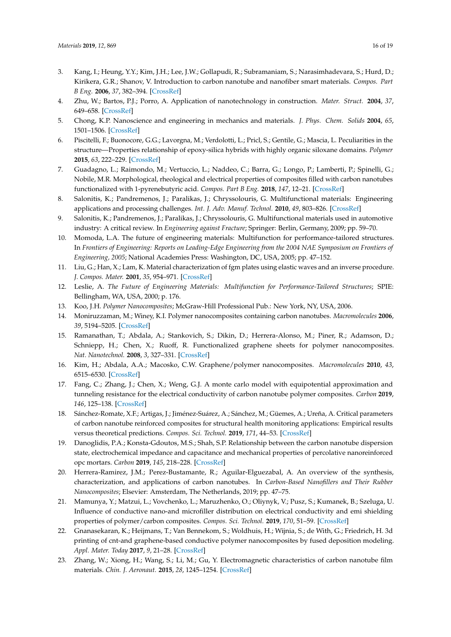- 3. Kang, I.; Heung, Y.Y.; Kim, J.H.; Lee, J.W.; Gollapudi, R.; Subramaniam, S.; Narasimhadevara, S.; Hurd, D.; Kirikera, G.R.; Shanov, V. Introduction to carbon nanotube and nanofiber smart materials. *Compos. Part B Eng.* **2006**, *37*, 382–394. [\[CrossRef\]](http://dx.doi.org/10.1016/j.compositesb.2006.02.011)
- 4. Zhu, W.; Bartos, P.J.; Porro, A. Application of nanotechnology in construction. *Mater. Struct.* **2004**, *37*, 649–658. [\[CrossRef\]](http://dx.doi.org/10.1007/BF02483294)
- 5. Chong, K.P. Nanoscience and engineering in mechanics and materials. *J. Phys. Chem. Solids* **2004**, *65*, 1501–1506. [\[CrossRef\]](http://dx.doi.org/10.1016/j.jpcs.2003.09.032)
- <span id="page-15-0"></span>6. Piscitelli, F.; Buonocore, G.G.; Lavorgna, M.; Verdolotti, L.; Pricl, S.; Gentile, G.; Mascia, L. Peculiarities in the structure—Properties relationship of epoxy-silica hybrids with highly organic siloxane domains. *Polymer* **2015**, *63*, 222–229. [\[CrossRef\]](http://dx.doi.org/10.1016/j.polymer.2015.03.012)
- <span id="page-15-1"></span>7. Guadagno, L.; Raimondo, M.; Vertuccio, L.; Naddeo, C.; Barra, G.; Longo, P.; Lamberti, P.; Spinelli, G.; Nobile, M.R. Morphological, rheological and electrical properties of composites filled with carbon nanotubes functionalized with 1-pyrenebutyric acid. *Compos. Part B Eng.* **2018**, *147*, 12–21. [\[CrossRef\]](http://dx.doi.org/10.1016/j.compositesb.2018.04.036)
- 8. Salonitis, K.; Pandremenos, J.; Paralikas, J.; Chryssolouris, G. Multifunctional materials: Engineering applications and processing challenges. *Int. J. Adv. Manuf. Technol.* **2010**, *49*, 803–826. [\[CrossRef\]](http://dx.doi.org/10.1007/s00170-009-2428-6)
- 9. Salonitis, K.; Pandremenos, J.; Paralikas, J.; Chryssolouris, G. Multifunctional materials used in automotive industry: A critical review. In *Engineering against Fracture*; Springer: Berlin, Germany, 2009; pp. 59–70.
- 10. Momoda, L.A. The future of engineering materials: Multifunction for performance-tailored structures. In *Frontiers of Engineering: Reports on Leading-Edge Engineering from the 2004 NAE Symposium on Frontiers of Engineering, 2005*; National Academies Press: Washington, DC, USA, 2005; pp. 47–152.
- 11. Liu, G.; Han, X.; Lam, K. Material characterization of fgm plates using elastic waves and an inverse procedure. *J. Compos. Mater.* **2001**, *35*, 954–971. [\[CrossRef\]](http://dx.doi.org/10.1106/86AQ-JY72-5VKT-K1NV)
- <span id="page-15-2"></span>12. Leslie, A. *The Future of Engineering Materials: Multifunction for Performance-Tailored Structures*; SPIE: Bellingham, WA, USA, 2000; p. 176.
- <span id="page-15-3"></span>13. Koo, J.H. *Polymer Nanocomposites*; McGraw-Hill Professional Pub.: New York, NY, USA, 2006.
- <span id="page-15-4"></span>14. Moniruzzaman, M.; Winey, K.I. Polymer nanocomposites containing carbon nanotubes. *Macromolecules* **2006**, *39*, 5194–5205. [\[CrossRef\]](http://dx.doi.org/10.1021/ma060733p)
- <span id="page-15-5"></span>15. Ramanathan, T.; Abdala, A.; Stankovich, S.; Dikin, D.; Herrera-Alonso, M.; Piner, R.; Adamson, D.; Schniepp, H.; Chen, X.; Ruoff, R. Functionalized graphene sheets for polymer nanocomposites. *Nat. Nanotechnol.* **2008**, *3*, 327–331. [\[CrossRef\]](http://dx.doi.org/10.1038/nnano.2008.96)
- <span id="page-15-6"></span>16. Kim, H.; Abdala, A.A.; Macosko, C.W. Graphene/polymer nanocomposites. *Macromolecules* **2010**, *43*, 6515–6530. [\[CrossRef\]](http://dx.doi.org/10.1021/ma100572e)
- <span id="page-15-7"></span>17. Fang, C.; Zhang, J.; Chen, X.; Weng, G.J. A monte carlo model with equipotential approximation and tunneling resistance for the electrical conductivity of carbon nanotube polymer composites. *Carbon* **2019**, *146*, 125–138. [\[CrossRef\]](http://dx.doi.org/10.1016/j.carbon.2019.01.098)
- <span id="page-15-8"></span>18. Sánchez-Romate, X.F.; Artigas, J.; Jiménez-Suárez, A.; Sánchez, M.; Güemes, A.; Ureña, A. Critical parameters of carbon nanotube reinforced composites for structural health monitoring applications: Empirical results versus theoretical predictions. *Compos. Sci. Technol.* **2019**, *171*, 44–53. [\[CrossRef\]](http://dx.doi.org/10.1016/j.compscitech.2018.12.010)
- <span id="page-15-9"></span>19. Danoglidis, P.A.; Konsta-Gdoutos, M.S.; Shah, S.P. Relationship between the carbon nanotube dispersion state, electrochemical impedance and capacitance and mechanical properties of percolative nanoreinforced opc mortars. *Carbon* **2019**, *145*, 218–228. [\[CrossRef\]](http://dx.doi.org/10.1016/j.carbon.2018.12.088)
- <span id="page-15-10"></span>20. Herrera-Ramirez, J.M.; Perez-Bustamante, R.; Aguilar-Elguezabal, A. An overview of the synthesis, characterization, and applications of carbon nanotubes. In *Carbon-Based Nanofillers and Their Rubber Nanocomposites*; Elsevier: Amsterdam, The Netherlands, 2019; pp. 47–75.
- <span id="page-15-11"></span>21. Mamunya, Y.; Matzui, L.; Vovchenko, L.; Maruzhenko, O.; Oliynyk, V.; Pusz, S.; Kumanek, B.; Szeluga, U. Influence of conductive nano-and microfiller distribution on electrical conductivity and emi shielding properties of polymer/carbon composites. *Compos. Sci. Technol.* **2019**, *170*, 51–59. [\[CrossRef\]](http://dx.doi.org/10.1016/j.compscitech.2018.11.037)
- 22. Gnanasekaran, K.; Heijmans, T.; Van Bennekom, S.; Woldhuis, H.; Wijnia, S.; de With, G.; Friedrich, H. 3d printing of cnt-and graphene-based conductive polymer nanocomposites by fused deposition modeling. *Appl. Mater. Today* **2017**, *9*, 21–28. [\[CrossRef\]](http://dx.doi.org/10.1016/j.apmt.2017.04.003)
- <span id="page-15-12"></span>23. Zhang, W.; Xiong, H.; Wang, S.; Li, M.; Gu, Y. Electromagnetic characteristics of carbon nanotube film materials. *Chin. J. Aeronaut.* **2015**, *28*, 1245–1254. [\[CrossRef\]](http://dx.doi.org/10.1016/j.cja.2015.05.002)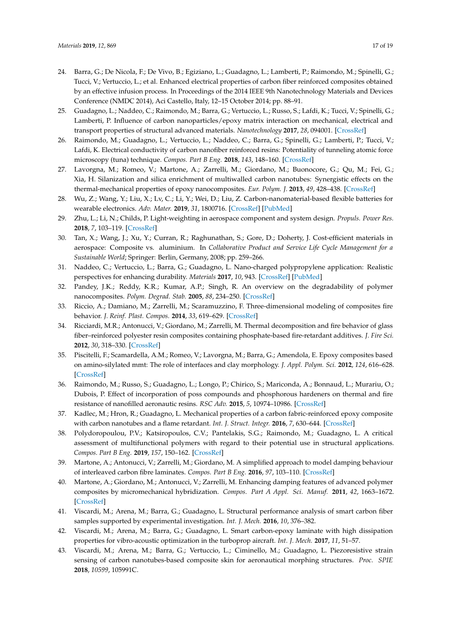- <span id="page-16-0"></span>24. Barra, G.; De Nicola, F.; De Vivo, B.; Egiziano, L.; Guadagno, L.; Lamberti, P.; Raimondo, M.; Spinelli, G.; Tucci, V.; Vertuccio, L.; et al. Enhanced electrical properties of carbon fiber reinforced composites obtained by an effective infusion process. In Proceedings of the 2014 IEEE 9th Nanotechnology Materials and Devices Conference (NMDC 2014), Aci Castello, Italy, 12–15 October 2014; pp. 88–91.
- <span id="page-16-16"></span>25. Guadagno, L.; Naddeo, C.; Raimondo, M.; Barra, G.; Vertuccio, L.; Russo, S.; Lafdi, K.; Tucci, V.; Spinelli, G.; Lamberti, P. Influence of carbon nanoparticles/epoxy matrix interaction on mechanical, electrical and transport properties of structural advanced materials. *Nanotechnology* **2017**, *28*, 094001. [\[CrossRef\]](http://dx.doi.org/10.1088/1361-6528/aa583d)
- 26. Raimondo, M.; Guadagno, L.; Vertuccio, L.; Naddeo, C.; Barra, G.; Spinelli, G.; Lamberti, P.; Tucci, V.; Lafdi, K. Electrical conductivity of carbon nanofiber reinforced resins: Potentiality of tunneling atomic force microscopy (tuna) technique. *Compos. Part B Eng.* **2018**, *143*, 148–160. [\[CrossRef\]](http://dx.doi.org/10.1016/j.compositesb.2018.02.005)
- <span id="page-16-1"></span>27. Lavorgna, M.; Romeo, V.; Martone, A.; Zarrelli, M.; Giordano, M.; Buonocore, G.; Qu, M.; Fei, G.; Xia, H. Silanization and silica enrichment of multiwalled carbon nanotubes: Synergistic effects on the thermal-mechanical properties of epoxy nanocomposites. *Eur. Polym. J.* **2013**, *49*, 428–438. [\[CrossRef\]](http://dx.doi.org/10.1016/j.eurpolymj.2012.10.003)
- <span id="page-16-2"></span>28. Wu, Z.; Wang, Y.; Liu, X.; Lv, C.; Li, Y.; Wei, D.; Liu, Z. Carbon-nanomaterial-based flexible batteries for wearable electronics. *Adv. Mater.* **2019**, *31*, 1800716. [\[CrossRef\]](http://dx.doi.org/10.1002/adma.201800716) [\[PubMed\]](http://www.ncbi.nlm.nih.gov/pubmed/30680813)
- <span id="page-16-3"></span>29. Zhu, L.; Li, N.; Childs, P. Light-weighting in aerospace component and system design. *Propuls. Power Res.* **2018**, *7*, 103–119. [\[CrossRef\]](http://dx.doi.org/10.1016/j.jppr.2018.04.001)
- <span id="page-16-4"></span>30. Tan, X.; Wang, J.; Xu, Y.; Curran, R.; Raghunathan, S.; Gore, D.; Doherty, J. Cost-efficient materials in aerospace: Composite vs. aluminium. In *Collaborative Product and Service Life Cycle Management for a Sustainable World*; Springer: Berlin, Germany, 2008; pp. 259–266.
- <span id="page-16-5"></span>31. Naddeo, C.; Vertuccio, L.; Barra, G.; Guadagno, L. Nano-charged polypropylene application: Realistic perspectives for enhancing durability. *Materials* **2017**, *10*, 943. [\[CrossRef\]](http://dx.doi.org/10.3390/ma10080943) [\[PubMed\]](http://www.ncbi.nlm.nih.gov/pubmed/28805728)
- <span id="page-16-6"></span>32. Pandey, J.K.; Reddy, K.R.; Kumar, A.P.; Singh, R. An overview on the degradability of polymer nanocomposites. *Polym. Degrad. Stab.* **2005**, *88*, 234–250. [\[CrossRef\]](http://dx.doi.org/10.1016/j.polymdegradstab.2004.09.013)
- <span id="page-16-7"></span>33. Riccio, A.; Damiano, M.; Zarrelli, M.; Scaramuzzino, F. Three-dimensional modeling of composites fire behavior. *J. Reinf. Plast. Compos.* **2014**, *33*, 619–629. [\[CrossRef\]](http://dx.doi.org/10.1177/0731684413512226)
- <span id="page-16-8"></span>34. Ricciardi, M.R.; Antonucci, V.; Giordano, M.; Zarrelli, M. Thermal decomposition and fire behavior of glass fiber–reinforced polyester resin composites containing phosphate-based fire-retardant additives. *J. Fire Sci.* **2012**, *30*, 318–330. [\[CrossRef\]](http://dx.doi.org/10.1177/0734904112439293)
- <span id="page-16-9"></span>35. Piscitelli, F.; Scamardella, A.M.; Romeo, V.; Lavorgna, M.; Barra, G.; Amendola, E. Epoxy composites based on amino-silylated mmt: The role of interfaces and clay morphology. *J. Appl. Polym. Sci.* **2012**, *124*, 616–628. [\[CrossRef\]](http://dx.doi.org/10.1002/app.35015)
- <span id="page-16-10"></span>36. Raimondo, M.; Russo, S.; Guadagno, L.; Longo, P.; Chirico, S.; Mariconda, A.; Bonnaud, L.; Murariu, O.; Dubois, P. Effect of incorporation of poss compounds and phosphorous hardeners on thermal and fire resistance of nanofilled aeronautic resins. *RSC Adv.* **2015**, *5*, 10974–10986. [\[CrossRef\]](http://dx.doi.org/10.1039/C4RA11537F)
- <span id="page-16-11"></span>37. Kadlec, M.; Hron, R.; Guadagno, L. Mechanical properties of a carbon fabric-reinforced epoxy composite with carbon nanotubes and a flame retardant. *Int. J. Struct. Integr.* **2016**, *7*, 630–644. [\[CrossRef\]](http://dx.doi.org/10.1108/IJSI-09-2015-0029)
- <span id="page-16-12"></span>38. Polydoropoulou, P.V.; Katsiropoulos, C.V.; Pantelakis, S.G.; Raimondo, M.; Guadagno, L. A critical assessment of multifunctional polymers with regard to their potential use in structural applications. *Compos. Part B Eng.* **2019**, *157*, 150–162. [\[CrossRef\]](http://dx.doi.org/10.1016/j.compositesb.2018.08.092)
- <span id="page-16-13"></span>39. Martone, A.; Antonucci, V.; Zarrelli, M.; Giordano, M. A simplified approach to model damping behaviour of interleaved carbon fibre laminates. *Compos. Part B Eng.* **2016**, *97*, 103–110. [\[CrossRef\]](http://dx.doi.org/10.1016/j.compositesb.2016.04.048)
- <span id="page-16-14"></span>40. Martone, A.; Giordano, M.; Antonucci, V.; Zarrelli, M. Enhancing damping features of advanced polymer composites by micromechanical hybridization. *Compos. Part A Appl. Sci. Manuf.* **2011**, *42*, 1663–1672. [\[CrossRef\]](http://dx.doi.org/10.1016/j.compositesa.2011.07.019)
- <span id="page-16-15"></span>41. Viscardi, M.; Arena, M.; Barra, G.; Guadagno, L. Structural performance analysis of smart carbon fiber samples supported by experimental investigation. *Int. J. Mech.* **2016**, *10*, 376–382.
- 42. Viscardi, M.; Arena, M.; Barra, G.; Guadagno, L. Smart carbon-epoxy laminate with high dissipation properties for vibro-acoustic optimization in the turboprop aircraft. *Int. J. Mech.* **2017**, *11*, 51–57.
- 43. Viscardi, M.; Arena, M.; Barra, G.; Vertuccio, L.; Ciminello, M.; Guadagno, L. Piezoresistive strain sensing of carbon nanotubes-based composite skin for aeronautical morphing structures. *Proc. SPIE* **2018**, *10599*, 105991C.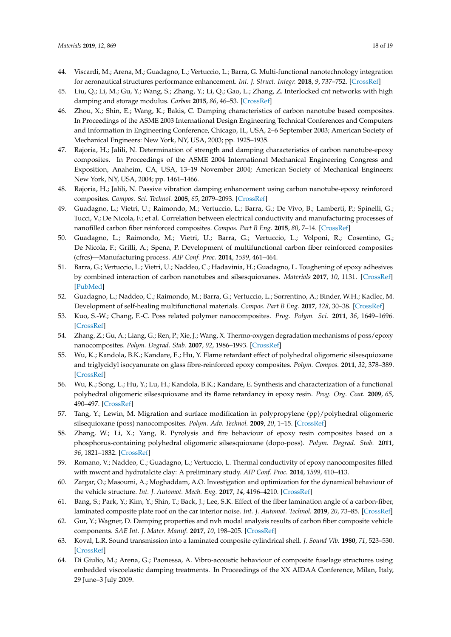- <span id="page-17-13"></span>44. Viscardi, M.; Arena, M.; Guadagno, L.; Vertuccio, L.; Barra, G. Multi-functional nanotechnology integration for aeronautical structures performance enhancement. *Int. J. Struct. Integr.* **2018**, *9*, 737–752. [\[CrossRef\]](http://dx.doi.org/10.1108/IJSI-11-2017-0060)
- <span id="page-17-0"></span>45. Liu, Q.; Li, M.; Gu, Y.; Wang, S.; Zhang, Y.; Li, Q.; Gao, L.; Zhang, Z. Interlocked cnt networks with high damping and storage modulus. *Carbon* **2015**, *86*, 46–53. [\[CrossRef\]](http://dx.doi.org/10.1016/j.carbon.2015.01.014)
- <span id="page-17-1"></span>46. Zhou, X.; Shin, E.; Wang, K.; Bakis, C. Damping characteristics of carbon nanotube based composites. In Proceedings of the ASME 2003 International Design Engineering Technical Conferences and Computers and Information in Engineering Conference, Chicago, IL, USA, 2–6 September 2003; American Society of Mechanical Engineers: New York, NY, USA, 2003; pp. 1925–1935.
- <span id="page-17-2"></span>47. Rajoria, H.; Jalili, N. Determination of strength and damping characteristics of carbon nanotube-epoxy composites. In Proceedings of the ASME 2004 International Mechanical Engineering Congress and Exposition, Anaheim, CA, USA, 13–19 November 2004; American Society of Mechanical Engineers: New York, NY, USA, 2004; pp. 1461–1466.
- <span id="page-17-3"></span>48. Rajoria, H.; Jalili, N. Passive vibration damping enhancement using carbon nanotube-epoxy reinforced composites. *Compos. Sci. Technol.* **2005**, *65*, 2079–2093. [\[CrossRef\]](http://dx.doi.org/10.1016/j.compscitech.2005.05.015)
- <span id="page-17-4"></span>49. Guadagno, L.; Vietri, U.; Raimondo, M.; Vertuccio, L.; Barra, G.; De Vivo, B.; Lamberti, P.; Spinelli, G.; Tucci, V.; De Nicola, F.; et al. Correlation between electrical conductivity and manufacturing processes of nanofilled carbon fiber reinforced composites. *Compos. Part B Eng.* **2015**, *80*, 7–14. [\[CrossRef\]](http://dx.doi.org/10.1016/j.compositesb.2015.05.025)
- <span id="page-17-5"></span>50. Guadagno, L.; Raimondo, M.; Vietri, U.; Barra, G.; Vertuccio, L.; Volponi, R.; Cosentino, G.; De Nicola, F.; Grilli, A.; Spena, P. Development of multifunctional carbon fiber reinforced composites (cfrcs)—Manufacturing process. *AIP Conf. Proc.* **2014**, *1599*, 461–464.
- <span id="page-17-6"></span>51. Barra, G.; Vertuccio, L.; Vietri, U.; Naddeo, C.; Hadavinia, H.; Guadagno, L. Toughening of epoxy adhesives by combined interaction of carbon nanotubes and silsesquioxanes. *Materials* **2017**, *10*, 1131. [\[CrossRef\]](http://dx.doi.org/10.3390/ma10101131) [\[PubMed\]](http://www.ncbi.nlm.nih.gov/pubmed/28946691)
- <span id="page-17-7"></span>52. Guadagno, L.; Naddeo, C.; Raimondo, M.; Barra, G.; Vertuccio, L.; Sorrentino, A.; Binder, W.H.; Kadlec, M. Development of self-healing multifunctional materials. *Compos. Part B Eng.* **2017**, *128*, 30–38. [\[CrossRef\]](http://dx.doi.org/10.1016/j.compositesb.2017.07.003)
- <span id="page-17-8"></span>53. Kuo, S.-W.; Chang, F.-C. Poss related polymer nanocomposites. *Prog. Polym. Sci.* **2011**, *36*, 1649–1696. [\[CrossRef\]](http://dx.doi.org/10.1016/j.progpolymsci.2011.05.002)
- 54. Zhang, Z.; Gu, A.; Liang, G.; Ren, P.; Xie, J.; Wang, X. Thermo-oxygen degradation mechanisms of poss/epoxy nanocomposites. *Polym. Degrad. Stab.* **2007**, *92*, 1986–1993. [\[CrossRef\]](http://dx.doi.org/10.1016/j.polymdegradstab.2007.08.004)
- 55. Wu, K.; Kandola, B.K.; Kandare, E.; Hu, Y. Flame retardant effect of polyhedral oligomeric silsesquioxane and triglycidyl isocyanurate on glass fibre-reinforced epoxy composites. *Polym. Compos.* **2011**, *32*, 378–389. [\[CrossRef\]](http://dx.doi.org/10.1002/pc.21052)
- <span id="page-17-9"></span>56. Wu, K.; Song, L.; Hu, Y.; Lu, H.; Kandola, B.K.; Kandare, E. Synthesis and characterization of a functional polyhedral oligomeric silsesquioxane and its flame retardancy in epoxy resin. *Prog. Org. Coat.* **2009**, *65*, 490–497. [\[CrossRef\]](http://dx.doi.org/10.1016/j.porgcoat.2009.04.008)
- <span id="page-17-10"></span>57. Tang, Y.; Lewin, M. Migration and surface modification in polypropylene (pp)/polyhedral oligomeric silsequioxane (poss) nanocomposites. *Polym. Adv. Technol.* **2009**, *20*, 1–15. [\[CrossRef\]](http://dx.doi.org/10.1002/pat.1229)
- <span id="page-17-11"></span>58. Zhang, W.; Li, X.; Yang, R. Pyrolysis and fire behaviour of epoxy resin composites based on a phosphorus-containing polyhedral oligomeric silsesquioxane (dopo-poss). *Polym. Degrad. Stab.* **2011**, *96*, 1821–1832. [\[CrossRef\]](http://dx.doi.org/10.1016/j.polymdegradstab.2011.07.014)
- <span id="page-17-12"></span>59. Romano, V.; Naddeo, C.; Guadagno, L.; Vertuccio, L. Thermal conductivity of epoxy nanocomposites filled with mwcnt and hydrotalcite clay: A preliminary study. *AIP Conf. Proc.* **2014**, *1599*, 410–413.
- <span id="page-17-14"></span>60. Zargar, O.; Masoumi, A.; Moghaddam, A.O. Investigation and optimization for the dynamical behaviour of the vehicle structure. *Int. J. Automot. Mech. Eng.* **2017**, *14*, 4196–4210. [\[CrossRef\]](http://dx.doi.org/10.15282/ijame.14.2.2017.7.0336)
- 61. Bang, S.; Park, Y.; Kim, Y.; Shin, T.; Back, J.; Lee, S.K. Effect of the fiber lamination angle of a carbon-fiber, laminated composite plate roof on the car interior noise. *Int. J. Automot. Technol.* **2019**, *20*, 73–85. [\[CrossRef\]](http://dx.doi.org/10.1007/s12239-019-0007-x)
- <span id="page-17-15"></span>62. Gur, Y.; Wagner, D. Damping properties and nvh modal analysis results of carbon fiber composite vehicle components. *SAE Int. J. Mater. Manuf.* **2017**, *10*, 198–205. [\[CrossRef\]](http://dx.doi.org/10.4271/2017-01-0500)
- <span id="page-17-16"></span>63. Koval, L.R. Sound transmission into a laminated composite cylindrical shell. *J. Sound Vib.* **1980**, *71*, 523–530. [\[CrossRef\]](http://dx.doi.org/10.1016/0022-460X(80)90724-5)
- <span id="page-17-17"></span>64. Di Giulio, M.; Arena, G.; Paonessa, A. Vibro-acoustic behaviour of composite fuselage structures using embedded viscoelastic damping treatments. In Proceedings of the XX AIDAA Conference, Milan, Italy, 29 June–3 July 2009.